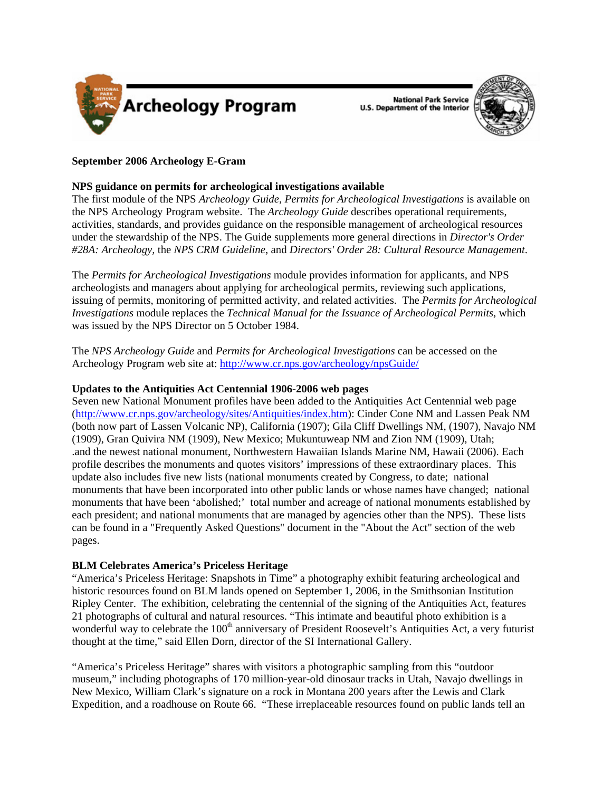

**National Park Service U.S. Department of the Interior** 



# **September 2006 Archeology E-Gram**

# **NPS guidance on permits for archeological investigations available**

The first module of the NPS *Archeology Guide, Permits for Archeological Investigations* is available on the NPS Archeology Program website. The *Archeology Guide* describes operational requirements, activities, standards, and provides guidance on the responsible management of archeological resources under the stewardship of the NPS. The Guide supplements more general directions in *Director's Order #28A: Archeology,* the *NPS CRM Guideline*, and *Directors' Order 28: Cultural Resource Management*.

The *Permits for Archeological Investigations* module provides information for applicants, and NPS archeologists and managers about applying for archeological permits, reviewing such applications, issuing of permits, monitoring of permitted activity, and related activities. The *Permits for Archeological Investigations* module replaces the *Technical Manual for the Issuance of Archeological Permits*, which was issued by the NPS Director on 5 October 1984.

The *NPS Archeology Guide* and *Permits for Archeological Investigations* can be accessed on the Archeology Program web site at:<http://www.cr.nps.gov/archeology/npsGuide/>

### **Updates to the Antiquities Act Centennial 1906-2006 web pages**

Seven new National Monument profiles have been added to the Antiquities Act Centennial web page ([http://www.cr.nps.gov/archeology/sites/Antiquities/index.htm](http://www.cr.nps.gov/archeology/sites/antiquities/index.htm)): Cinder Cone NM and Lassen Peak NM (both now part of Lassen Volcanic NP), California (1907); Gila Cliff Dwellings NM, (1907), Navajo NM (1909), Gran Quivira NM (1909), New Mexico; Mukuntuweap NM and Zion NM (1909), Utah; .and the newest national monument, Northwestern Hawaiian Islands Marine NM, Hawaii (2006). Each profile describes the monuments and quotes visitors' impressions of these extraordinary places. This update also includes five new lists (national monuments created by Congress, to date; national monuments that have been incorporated into other public lands or whose names have changed; national monuments that have been 'abolished;' total number and acreage of national monuments established by each president; and national monuments that are managed by agencies other than the NPS). These lists can be found in a "Frequently Asked Questions" document in the "About the Act" section of the web pages.

## **BLM Celebrates America's Priceless Heritage**

"America's Priceless Heritage: Snapshots in Time" a photography exhibit featuring archeological and historic resources found on BLM lands opened on September 1, 2006, in the Smithsonian Institution Ripley Center. The exhibition, celebrating the centennial of the signing of the Antiquities Act, features 21 photographs of cultural and natural resources. "This intimate and beautiful photo exhibition is a wonderful way to celebrate the 100<sup>th</sup> anniversary of President Roosevelt's Antiquities Act, a very futurist thought at the time," said Ellen Dorn, director of the SI International Gallery.

"America's Priceless Heritage" shares with visitors a photographic sampling from this "outdoor museum," including photographs of 170 million-year-old dinosaur tracks in Utah, Navajo dwellings in New Mexico, William Clark's signature on a rock in Montana 200 years after the Lewis and Clark Expedition, and a roadhouse on Route 66. "These irreplaceable resources found on public lands tell an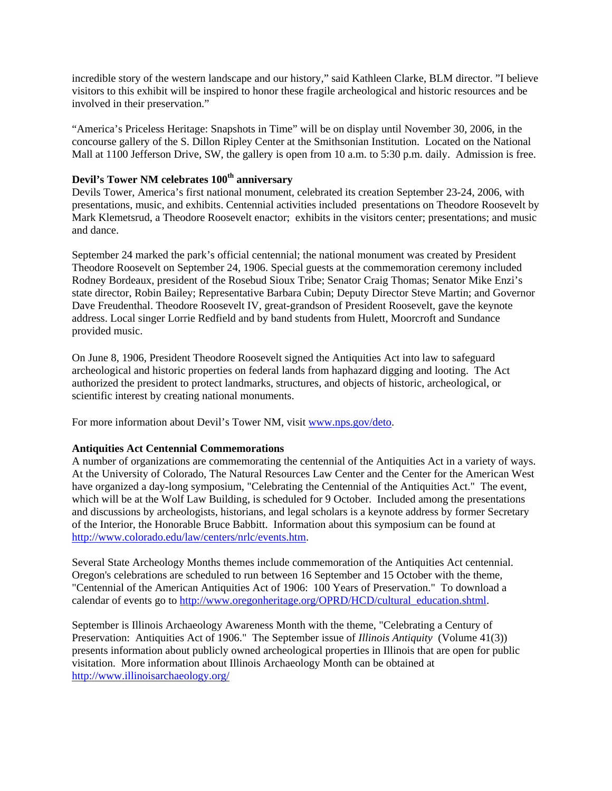incredible story of the western landscape and our history," said Kathleen Clarke, BLM director. "I believe visitors to this exhibit will be inspired to honor these fragile archeological and historic resources and be involved in their preservation."

"America's Priceless Heritage: Snapshots in Time" will be on display until November 30, 2006, in the concourse gallery of the S. Dillon Ripley Center at the Smithsonian Institution. Located on the National Mall at 1100 Jefferson Drive, SW, the gallery is open from 10 a.m. to 5:30 p.m. daily. Admission is free.

# **Devil's Tower NM celebrates 100th anniversary**

Devils Tower, America's first national monument, celebrated its creation September 23-24, 2006, with presentations, music, and exhibits. Centennial activities included presentations on Theodore Roosevelt by Mark Klemetsrud, a Theodore Roosevelt enactor; exhibits in the visitors center; presentations; and music and dance.

September 24 marked the park's official centennial; the national monument was created by President Theodore Roosevelt on September 24, 1906. Special guests at the commemoration ceremony included Rodney Bordeaux, president of the Rosebud Sioux Tribe; Senator Craig Thomas; Senator Mike Enzi's state director, Robin Bailey; Representative Barbara Cubin; Deputy Director Steve Martin; and Governor Dave Freudenthal. Theodore Roosevelt IV, great-grandson of President Roosevelt, gave the keynote address. Local singer Lorrie Redfield and by band students from Hulett, Moorcroft and Sundance provided music.

On June 8, 1906, President Theodore Roosevelt signed the Antiquities Act into law to safeguard archeological and historic properties on federal lands from haphazard digging and looting. The Act authorized the president to protect landmarks, structures, and objects of historic, archeological, or scientific interest by creating national monuments.

For more information about Devil's Tower NM, visit [www.nps.gov/deto.](http://www.nps.gov/deto/)

#### **Antiquities Act Centennial Commemorations**

A number of organizations are commemorating the centennial of the Antiquities Act in a variety of ways. At the University of Colorado, The Natural Resources Law Center and the Center for the American West have organized a day-long symposium, "Celebrating the Centennial of the Antiquities Act." The event, which will be at the Wolf Law Building, is scheduled for 9 October. Included among the presentations and discussions by archeologists, historians, and legal scholars is a keynote address by former Secretary of the Interior, the Honorable Bruce Babbitt. Information about this symposium can be found at <http://www.colorado.edu/law/centers/nrlc/events.htm>.

Several State Archeology Months themes include commemoration of the Antiquities Act centennial. Oregon's celebrations are scheduled to run between 16 September and 15 October with the theme, "Centennial of the American Antiquities Act of 1906: 100 Years of Preservation." To download a calendar of events go to [http://www.oregonheritage.org/OPRD/HCD/cultural\\_education.shtml.](http://www.colorado.edu/law/centers/nrlc/events.htm)

September is Illinois Archaeology Awareness Month with the theme, "Celebrating a Century of Preservation: Antiquities Act of 1906." The September issue of *Illinois Antiquity* (Volume 41(3)) presents information about publicly owned archeological properties in Illinois that are open for public visitation. More information about Illinois Archaeology Month can be obtained at <http://www.illinoisarchaeology.org/>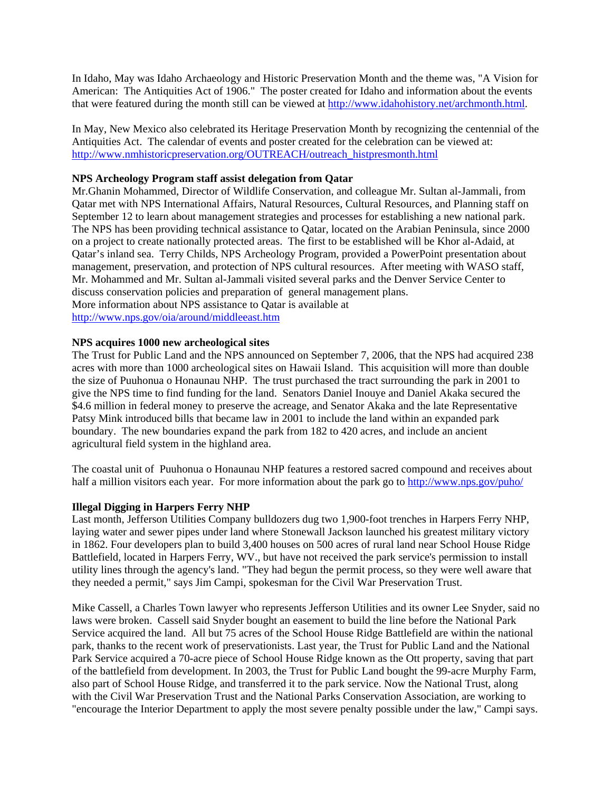In Idaho, May was Idaho Archaeology and Historic Preservation Month and the theme was, "A Vision for American: The Antiquities Act of 1906." The poster created for Idaho and information about the events that were featured during the month still can be viewed at<http://www.idahohistory.net/archmonth.html>.

In May, New Mexico also celebrated its Heritage Preservation Month by recognizing the centennial of the Antiquities Act. The calendar of events and poster created for the celebration can be viewed at: [http://www.nmhistoricpreservation.org/OUTREACH/outreach\\_histpresmonth.html](http://www.nmhistoricpreservation.org/OUTREACH/outreach_histpresmonth.html)

### **NPS Archeology Program staff assist delegation from Qatar**

Mr.Ghanin Mohammed, Director of Wildlife Conservation, and colleague Mr. Sultan al-Jammali, from Qatar met with NPS International Affairs, Natural Resources, Cultural Resources, and Planning staff on September 12 to learn about management strategies and processes for establishing a new national park. The NPS has been providing technical assistance to Qatar, located on the Arabian Peninsula, since 2000 on a project to create nationally protected areas. The first to be established will be Khor al-Adaid, at Qatar's inland sea. Terry Childs, NPS Archeology Program, provided a PowerPoint presentation about management, preservation, and protection of NPS cultural resources. After meeting with WASO staff, Mr. Mohammed and Mr. Sultan al-Jammali visited several parks and the Denver Service Center to discuss conservation policies and preparation of general management plans. More information about NPS assistance to Qatar is available at <http://www.nps.gov/oia/around/middleeast.htm>

### **NPS acquires 1000 new archeological sites**

The Trust for Public Land and the NPS announced on September 7, 2006, that the NPS had acquired 238 acres with more than 1000 archeological sites on Hawaii Island. This acquisition will more than double the size of Puuhonua o Honaunau NHP. The trust purchased the tract surrounding the park in 2001 to give the NPS time to find funding for the land. Senators Daniel Inouye and Daniel Akaka secured the \$4.6 million in federal money to preserve the acreage, and Senator Akaka and the late Representative Patsy Mink introduced bills that became law in 2001 to include the land within an expanded park boundary. The new boundaries expand the park from 182 to 420 acres, and include an ancient agricultural field system in the highland area.

The coastal unit of Puuhonua o Honaunau NHP features a restored sacred compound and receives about half a million visitors each year. For more information about the park go to<http://www.nps.gov/puho/>

## **Illegal Digging in Harpers Ferry NHP**

Last month, Jefferson Utilities Company bulldozers dug two 1,900-foot trenches in Harpers Ferry NHP, laying water and sewer pipes under land where Stonewall Jackson launched his greatest military victory in 1862. Four developers plan to build 3,400 houses on 500 acres of rural land near School House Ridge Battlefield, located in Harpers Ferry, WV., but have not received the park service's permission to install utility lines through the agency's land. "They had begun the permit process, so they were well aware that they needed a permit," says Jim Campi, spokesman for the Civil War Preservation Trust.

Mike Cassell, a Charles Town lawyer who represents Jefferson Utilities and its owner Lee Snyder, said no laws were broken. Cassell said Snyder bought an easement to build the line before the National Park Service acquired the land. All but 75 acres of the School House Ridge Battlefield are within the national park, thanks to the recent work of preservationists. Last year, the Trust for Public Land and the National Park Service acquired a 70-acre piece of School House Ridge known as the Ott property, saving that part of the battlefield from development. In 2003, the Trust for Public Land bought the 99-acre Murphy Farm, also part of School House Ridge, and transferred it to the park service. Now the National Trust, along with the Civil War Preservation Trust and the National Parks Conservation Association, are working to "encourage the Interior Department to apply the most severe penalty possible under the law," Campi says.